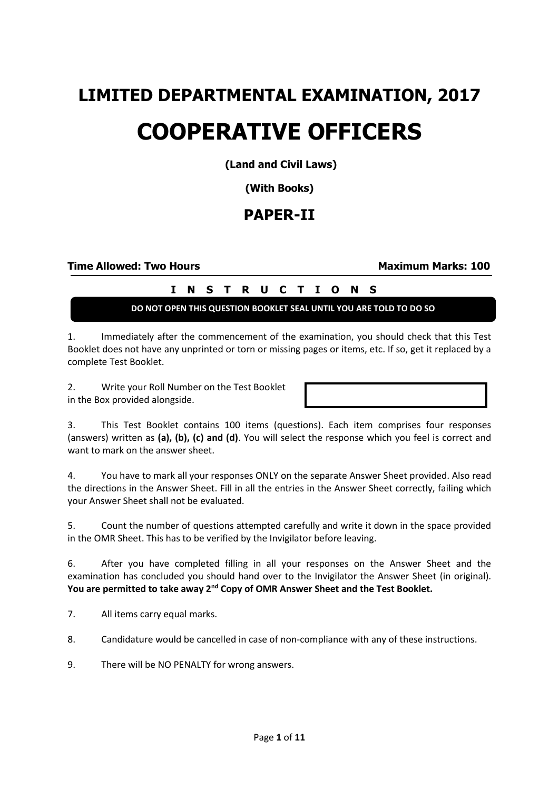## **LIMITED DEPARTMENTAL EXAMINATION, 2017 COOPERATIVE OFFICERS**

**(Land and Civil Laws)**

**(With Books)**

## **PAPER-II**

**Time Allowed: Two Hours Maximum Marks: 100** 

## **I N S T R U C T I O N S**

**DO NOT OPEN THIS QUESTION BOOKLET SEAL UNTIL YOU ARE TOLD TO DO SO**

1. Immediately after the commencement of the examination, you should check that this Test Booklet does not have any unprinted or torn or missing pages or items, etc. If so, get it replaced by a complete Test Booklet.

2. Write your Roll Number on the Test Booklet in the Box provided alongside.

3. This Test Booklet contains 100 items (questions). Each item comprises four responses (answers) written as **(a), (b), (c) and (d)**. You will select the response which you feel is correct and want to mark on the answer sheet.

4. You have to mark all your responses ONLY on the separate Answer Sheet provided. Also read the directions in the Answer Sheet. Fill in all the entries in the Answer Sheet correctly, failing which your Answer Sheet shall not be evaluated.

5. Count the number of questions attempted carefully and write it down in the space provided in the OMR Sheet. This has to be verified by the Invigilator before leaving.

6. After you have completed filling in all your responses on the Answer Sheet and the examination has concluded you should hand over to the Invigilator the Answer Sheet (in original). You are permitted to take away 2<sup>nd</sup> Copy of OMR Answer Sheet and the Test Booklet.

7. All items carry equal marks.

8. Candidature would be cancelled in case of non-compliance with any of these instructions.

9. There will be NO PENALTY for wrong answers.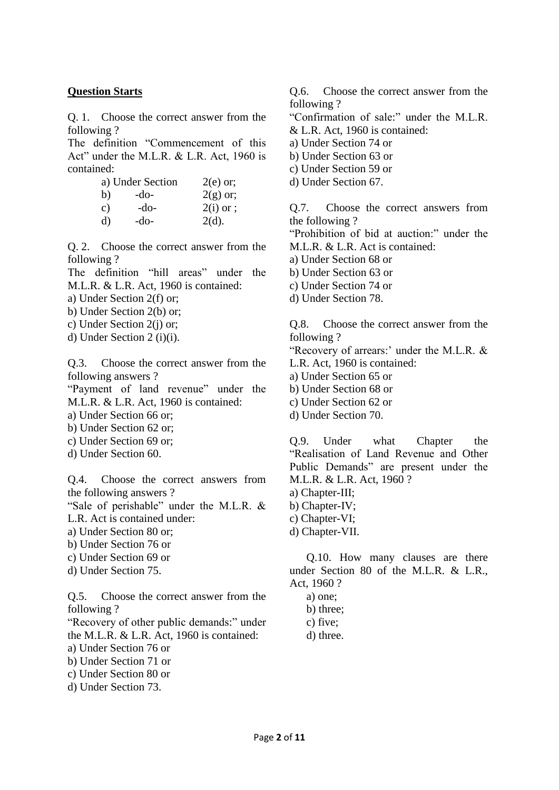## **Question Starts**

Q. 1. Choose the correct answer from the following ?

The definition "Commencement of this Act" under the M.L.R. & L.R. Act, 1960 is contained:

|              | a) Under Section | $2(e)$ or;  |
|--------------|------------------|-------------|
| b)           | -do-             | $2(g)$ or;  |
| $\mathbf{c}$ | -do-             | $2(i)$ or ; |
| d)           | -do-             | $2(d)$ .    |

Q. 2. Choose the correct answer from the following ?

The definition "hill areas" under the M.L.R. & L.R. Act, 1960 is contained:

- a) Under Section 2(f) or;
- b) Under Section 2(b) or;
- c) Under Section 2(j) or;
- d) Under Section 2 (i)(i).

Q.3. Choose the correct answer from the following answers ?

"Payment of land revenue" under the M.L.R. & L.R. Act, 1960 is contained:

a) Under Section 66 or;

- b) Under Section 62 or;
- c) Under Section 69 or;
- d) Under Section 60.

Q.4. Choose the correct answers from the following answers ?

"Sale of perishable" under the M.L.R. & L.R. Act is contained under:

a) Under Section 80 or;

- b) Under Section 76 or
- c) Under Section 69 or
- d) Under Section 75.

Q.5. Choose the correct answer from the following ?

"Recovery of other public demands:" under the M.L.R. & L.R. Act, 1960 is contained:

a) Under Section 76 or

- b) Under Section 71 or
- c) Under Section 80 or
- d) Under Section 73.

Q.6. Choose the correct answer from the following ?

"Confirmation of sale:" under the M.L.R. & L.R. Act, 1960 is contained:

- a) Under Section 74 or
- b) Under Section 63 or
- c) Under Section 59 or
- d) Under Section 67.

Q.7. Choose the correct answers from the following ?

"Prohibition of bid at auction:" under the M.L.R. & L.R. Act is contained:

- a) Under Section 68 or
- b) Under Section 63 or
- c) Under Section 74 or
- d) Under Section 78.

Q.8. Choose the correct answer from the following ?

"Recovery of arrears:' under the M.L.R. &

- L.R. Act, 1960 is contained:
- a) Under Section 65 or
- b) Under Section 68 or
- c) Under Section 62 or
- d) Under Section 70.

Q.9. Under what Chapter the "Realisation of Land Revenue and Other Public Demands" are present under the M.L.R. & L.R. Act, 1960 ?

- a) Chapter-III;
- b) Chapter-IV;
- c) Chapter-VI;
- d) Chapter-VII.

Q.10. How many clauses are there under Section 80 of the M.L.R. & L.R., Act, 1960 ?

- a) one;
- b) three;
- c) five;
- d) three.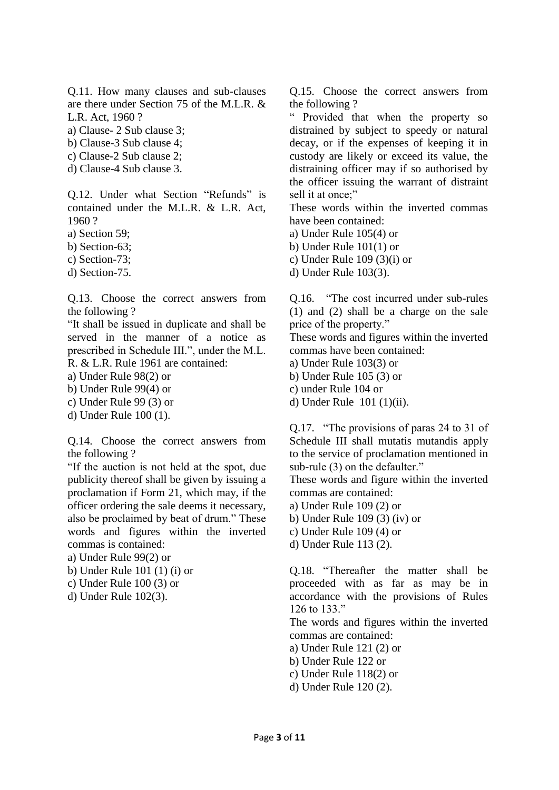Q.11. How many clauses and sub-clauses are there under Section 75 of the M.L.R. & L.R. Act, 1960 ?

a) Clause- 2 Sub clause 3;

b) Clause-3 Sub clause 4;

c) Clause-2 Sub clause 2;

d) Clause-4 Sub clause 3.

Q.12. Under what Section "Refunds" is contained under the M.L.R. & L.R. Act, 1960 ?

a) Section 59;

b) Section-63;

c) Section-73;

d) Section-75.

Q.13. Choose the correct answers from the following ?

"It shall be issued in duplicate and shall be served in the manner of a notice as prescribed in Schedule III.", under the M.L. R. & L.R. Rule 1961 are contained:

a) Under Rule 98(2) or

b) Under Rule 99(4) or

c) Under Rule 99 (3) or

d) Under Rule 100 (1).

Q.14. Choose the correct answers from the following ?

"If the auction is not held at the spot, due publicity thereof shall be given by issuing a proclamation if Form 21, which may, if the officer ordering the sale deems it necessary, also be proclaimed by beat of drum." These words and figures within the inverted commas is contained:

a) Under Rule 99(2) or

b) Under Rule 101 (1) (i) or

c) Under Rule 100 (3) or

d) Under Rule 102(3).

Q.15. Choose the correct answers from the following ?

" Provided that when the property so distrained by subject to speedy or natural decay, or if the expenses of keeping it in custody are likely or exceed its value, the distraining officer may if so authorised by the officer issuing the warrant of distraint sell it at once;"

These words within the inverted commas have been contained:

a) Under Rule 105(4) or

b) Under Rule 101(1) or

c) Under Rule 109 (3)(i) or

d) Under Rule 103(3).

Q.16. "The cost incurred under sub-rules (1) and (2) shall be a charge on the sale price of the property."

These words and figures within the inverted commas have been contained:

a) Under Rule 103(3) or

b) Under Rule 105 (3) or

c) under Rule 104 or

d) Under Rule 101 (1)(ii).

Q.17. "The provisions of paras 24 to 31 of Schedule III shall mutatis mutandis apply to the service of proclamation mentioned in sub-rule (3) on the defaulter."

These words and figure within the inverted commas are contained:

a) Under Rule 109 (2) or

- b) Under Rule 109 (3) (iv) or
- c) Under Rule 109 (4) or
- d) Under Rule 113 (2).

Q.18. "Thereafter the matter shall be proceeded with as far as may be in accordance with the provisions of Rules 126 to 133."

The words and figures within the inverted commas are contained:

a) Under Rule 121 (2) or

- b) Under Rule 122 or
- c) Under Rule 118(2) or
- d) Under Rule 120 (2).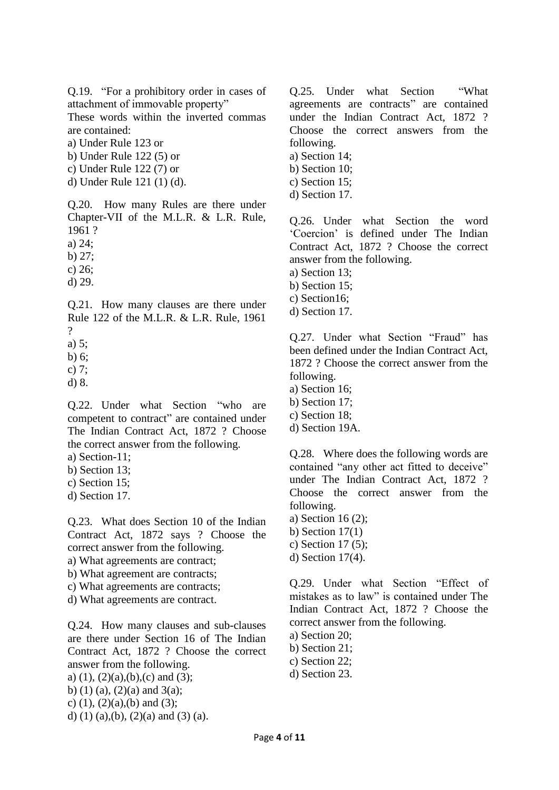Q.19. "For a prohibitory order in cases of attachment of immovable property"

These words within the inverted commas are contained:

a) Under Rule 123 or

b) Under Rule 122 (5) or

c) Under Rule 122 (7) or

d) Under Rule 121 (1) (d).

Q.20. How many Rules are there under Chapter-VII of the M.L.R. & L.R. Rule, 1961 ?

a) 24;

b) 27;

c) 26;

d) 29.

Q.21. How many clauses are there under Rule 122 of the M.L.R. & L.R. Rule, 1961  $\gamma$ 

a) 5;

b) 6;

c) 7;

d) 8.

Q.22. Under what Section "who are competent to contract" are contained under The Indian Contract Act, 1872 ? Choose the correct answer from the following.

a) Section-11;

b) Section 13;

c) Section 15;

d) Section 17.

Q.23. What does Section 10 of the Indian Contract Act, 1872 says ? Choose the correct answer from the following.

a) What agreements are contract;

b) What agreement are contracts;

c) What agreements are contracts;

d) What agreements are contract.

Q.24. How many clauses and sub-clauses are there under Section 16 of The Indian Contract Act, 1872 ? Choose the correct answer from the following.

a) (1), (2)(a),(b),(c) and (3); b) (1) (a), (2)(a) and 3(a); c)  $(1)$ ,  $(2)(a)$ ,  $(b)$  and  $(3)$ ;

d) (1) (a),(b), (2)(a) and (3) (a).

Q.25. Under what Section "What agreements are contracts" are contained under the Indian Contract Act, 1872 ? Choose the correct answers from the following. a) Section 14;

- b) Section 10;
- c) Section 15;
- d) Section 17.

Q.26. Under what Section the word 'Coercion' is defined under The Indian Contract Act, 1872 ? Choose the correct answer from the following.

a) Section 13;

b) Section 15;

c) Section16;

d) Section 17.

Q.27. Under what Section "Fraud" has been defined under the Indian Contract Act, 1872 ? Choose the correct answer from the following.

- a) Section 16;
- b) Section 17;
- c) Section 18;
- d) Section 19A.

Q.28. Where does the following words are contained "any other act fitted to deceive" under The Indian Contract Act, 1872 ? Choose the correct answer from the following.

a) Section 16 (2); b) Section  $17(1)$ 

c) Section 17 (5);

d) Section 17(4).

Q.29. Under what Section "Effect of mistakes as to law" is contained under The Indian Contract Act, 1872 ? Choose the correct answer from the following.

a) Section 20; b) Section 21;

- c) Section 22;
- d) Section 23.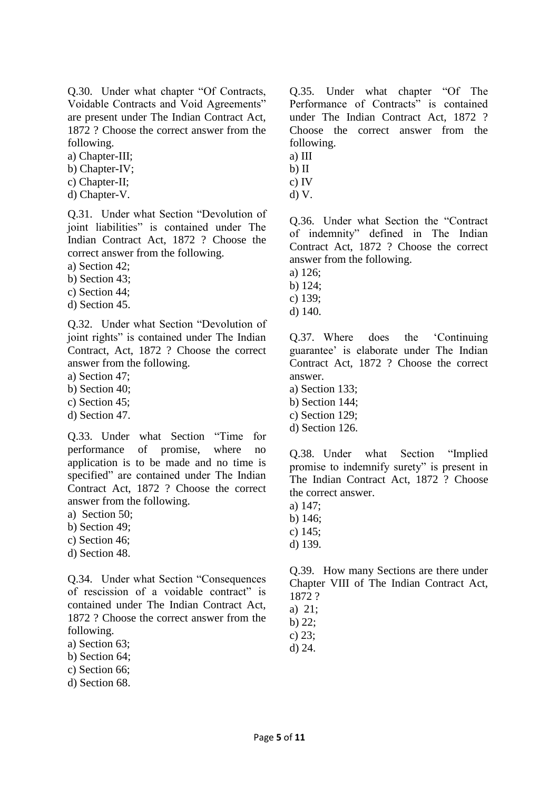Q.30. Under what chapter "Of Contracts, Voidable Contracts and Void Agreements" are present under The Indian Contract Act, 1872 ? Choose the correct answer from the following.

a) Chapter-III;

- b) Chapter-IV;
- c) Chapter-II;
- d) Chapter-V.

Q.31. Under what Section "Devolution of joint liabilities" is contained under The Indian Contract Act, 1872 ? Choose the correct answer from the following.

a) Section 42;

b) Section 43;

c) Section 44;

d) Section 45.

Q.32. Under what Section "Devolution of joint rights" is contained under The Indian Contract, Act, 1872 ? Choose the correct answer from the following.

a) Section 47;

- b) Section 40;
- c) Section 45;
- d) Section 47.

Q.33. Under what Section "Time for performance of promise, where no application is to be made and no time is specified" are contained under The Indian Contract Act, 1872 ? Choose the correct answer from the following.

a) Section 50;

- b) Section 49;
- c) Section 46;
- d) Section 48.

Q.34. Under what Section "Consequences of rescission of a voidable contract" is contained under The Indian Contract Act, 1872 ? Choose the correct answer from the following.

a) Section 63;

- b) Section 64;
- c) Section 66;
- d) Section 68.

Q.35. Under what chapter "Of The Performance of Contracts" is contained under The Indian Contract Act, 1872 ? Choose the correct answer from the following.

- a) III
- b) II
- c) IV
- d) V.

Q.36. Under what Section the "Contract of indemnity" defined in The Indian Contract Act, 1872 ? Choose the correct answer from the following.

a) 126;

- b) 124;
- c) 139;
- d) 140.

Q.37. Where does the 'Continuing guarantee' is elaborate under The Indian Contract Act, 1872 ? Choose the correct answer.

- a) Section 133;
- b) Section 144;
- c) Section 129;
- d) Section 126.

Q.38. Under what Section "Implied promise to indemnify surety" is present in The Indian Contract Act, 1872 ? Choose the correct answer.

- a) 147;
- b) 146;
- c) 145;
- d) 139.

Q.39. How many Sections are there under Chapter VIII of The Indian Contract Act, 1872 ?

a) 21;

b) 22;

c) 23;

d) 24.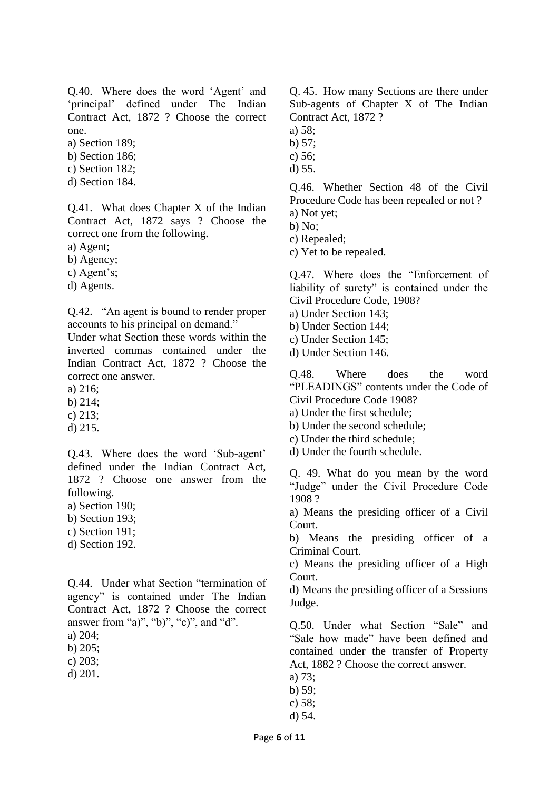Q.40. Where does the word 'Agent' and 'principal' defined under The Indian Contract Act, 1872 ? Choose the correct one.

a) Section 189;

- b) Section 186;
- c) Section 182;
- d) Section 184.

Q.41. What does Chapter X of the Indian Contract Act, 1872 says ? Choose the correct one from the following.

a) Agent;

b) Agency;

c) Agent's;

d) Agents.

Q.42. "An agent is bound to render proper accounts to his principal on demand."

Under what Section these words within the inverted commas contained under the Indian Contract Act, 1872 ? Choose the correct one answer.

a) 216;

b) 214;

c) 213;

d) 215.

Q.43. Where does the word 'Sub-agent' defined under the Indian Contract Act, 1872 ? Choose one answer from the following.

a) Section 190;

- b) Section 193;
- c) Section 191;
- d) Section 192.

Q.44. Under what Section "termination of agency" is contained under The Indian Contract Act, 1872 ? Choose the correct answer from "a)", "b)", "c)", and "d".

a) 204;

b) 205;

c) 203;

d) 201.

Q. 45. How many Sections are there under Sub-agents of Chapter X of The Indian Contract Act, 1872 ?

a) 58;

b) 57;

c) 56;

d) 55.

Q.46. Whether Section 48 of the Civil Procedure Code has been repealed or not ? a) Not yet;

b) No;

c) Repealed;

c) Yet to be repealed.

Q.47. Where does the "Enforcement of liability of surety" is contained under the Civil Procedure Code, 1908?

- a) Under Section 143;
- b) Under Section 144;
- c) Under Section 145;
- d) Under Section 146.

Q.48. Where does the word "PLEADINGS" contents under the Code of Civil Procedure Code 1908?

- a) Under the first schedule;
- b) Under the second schedule;
- c) Under the third schedule;
- d) Under the fourth schedule.

Q. 49. What do you mean by the word "Judge" under the Civil Procedure Code 1908 ?

a) Means the presiding officer of a Civil Court.

b) Means the presiding officer of a Criminal Court.

c) Means the presiding officer of a High Court.

d) Means the presiding officer of a Sessions Judge.

Q.50. Under what Section "Sale" and "Sale how made" have been defined and contained under the transfer of Property Act, 1882 ? Choose the correct answer.

- a) 73;
- b) 59;
- c) 58;
- d) 54.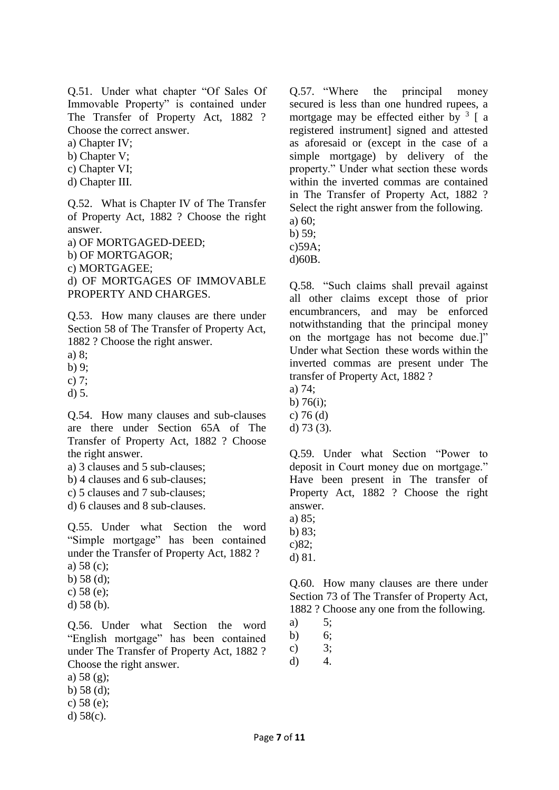Q.51. Under what chapter "Of Sales Of Immovable Property" is contained under The Transfer of Property Act, 1882 ? Choose the correct answer.

a) Chapter IV;

b) Chapter V;

- c) Chapter VI;
- d) Chapter III.

Q.52. What is Chapter IV of The Transfer of Property Act, 1882 ? Choose the right answer.

a) OF MORTGAGED-DEED;

b) OF MORTGAGOR;

c) MORTGAGEE;

d) OF MORTGAGES OF IMMOVABLE PROPERTY AND CHARGES.

Q.53. How many clauses are there under Section 58 of The Transfer of Property Act, 1882 ? Choose the right answer.

a) 8;

b) 9;

c) 7;

d) 5.

Q.54. How many clauses and sub-clauses are there under Section 65A of The Transfer of Property Act, 1882 ? Choose the right answer.

a) 3 clauses and 5 sub-clauses;

b) 4 clauses and 6 sub-clauses;

c) 5 clauses and 7 sub-clauses;

d) 6 clauses and 8 sub-clauses.

Q.55. Under what Section the word "Simple mortgage" has been contained under the Transfer of Property Act, 1882 ?

- a) 58 (c);
- b) 58 (d);
- c) 58 (e);
- d) 58 (b).

Q.56. Under what Section the word "English mortgage" has been contained under The Transfer of Property Act, 1882 ? Choose the right answer.

- a) 58 (g);
- b) 58 (d);
- c) 58 (e);
- d) 58(c).

Q.57. "Where the principal money secured is less than one hundred rupees, a mortgage may be effected either by  $3 \left[ a \right]$ registered instrument] signed and attested as aforesaid or (except in the case of a simple mortgage) by delivery of the property." Under what section these words within the inverted commas are contained in The Transfer of Property Act, 1882 ? Select the right answer from the following. a) 60;

b) 59;

c)59A;

d)60B.

Q.58. "Such claims shall prevail against all other claims except those of prior encumbrancers, and may be enforced notwithstanding that the principal money on the mortgage has not become due.]" Under what Section these words within the inverted commas are present under The transfer of Property Act, 1882 ?

- a) 74;
- b) 76(i);
- c) 76 (d)
- d) 73 (3).

Q.59. Under what Section "Power to deposit in Court money due on mortgage." Have been present in The transfer of Property Act, 1882 ? Choose the right answer.

a) 85;

b) 83;

c)82;

d) 81.

Q.60. How many clauses are there under Section 73 of The Transfer of Property Act, 1882 ? Choose any one from the following.

- a) 5;
- b) 6;

c)  $3;$ 

d) 4.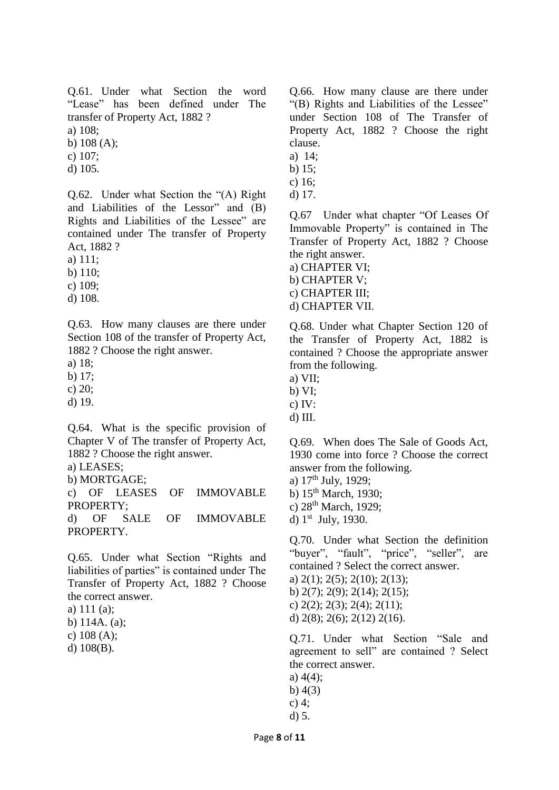Q.61. Under what Section the word "Lease" has been defined under The transfer of Property Act, 1882 ? a) 108;

b) 108 (A);

c) 107;

d) 105.

Q.62. Under what Section the "(A) Right and Liabilities of the Lessor" and (B) Rights and Liabilities of the Lessee" are contained under The transfer of Property Act, 1882 ?

a) 111;

b) 110;

c) 109;

d) 108.

Q.63. How many clauses are there under Section 108 of the transfer of Property Act, 1882 ? Choose the right answer.

a) 18;

b) 17;

c) 20;

d) 19.

Q.64. What is the specific provision of Chapter V of The transfer of Property Act, 1882 ? Choose the right answer.

a) LEASES;

b) MORTGAGE;

c) OF LEASES OF IMMOVABLE PROPERTY;

d) OF SALE OF IMMOVABLE PROPERTY.

Q.65. Under what Section "Rights and liabilities of parties" is contained under The Transfer of Property Act, 1882 ? Choose the correct answer.

a) 111 (a);

b) 114A. (a);

c) 108 (A);

d) 108(B).

Q.66. How many clause are there under "(B) Rights and Liabilities of the Lessee" under Section 108 of The Transfer of Property Act, 1882 ? Choose the right clause.

- a) 14;
- b) 15;
- c) 16;
- d) 17.

Q.67 Under what chapter "Of Leases Of Immovable Property" is contained in The Transfer of Property Act, 1882 ? Choose the right answer.

a) CHAPTER VI; b) CHAPTER V;

c) CHAPTER III;

d) CHAPTER VII.

Q.68. Under what Chapter Section 120 of the Transfer of Property Act, 1882 is contained ? Choose the appropriate answer from the following.

- a) VII;
- b) VI;
- c) IV:
- d) III.

Q.69. When does The Sale of Goods Act, 1930 come into force ? Choose the correct answer from the following.

a)  $17<sup>th</sup>$  July, 1929;

b) 15<sup>th</sup> March, 1930;

c) 28<sup>th</sup> March, 1929;

d) 1<sup>st</sup> July, 1930.

Q.70. Under what Section the definition "buyer", "fault", "price", "seller", are contained ? Select the correct answer.

- a) 2(1); 2(5); 2(10); 2(13);
- b) 2(7); 2(9); 2(14); 2(15);
- c)  $2(2)$ ;  $2(3)$ ;  $2(4)$ ;  $2(11)$ ;

d)  $2(8)$ ;  $2(6)$ ;  $2(12)$   $2(16)$ .

Q.71. Under what Section "Sale and agreement to sell" are contained ? Select the correct answer.

- a) 4(4);
- b) 4(3)
- c) 4;
- d) 5.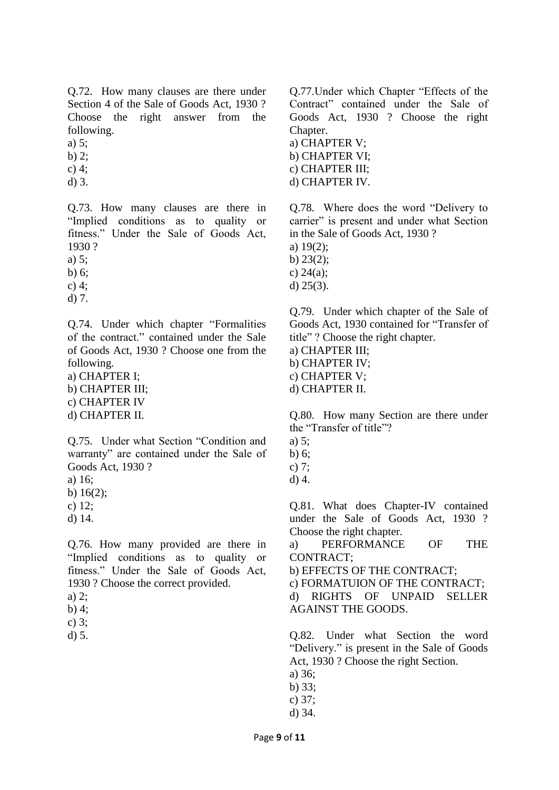Q.72. How many clauses are there under Section 4 of the Sale of Goods Act, 1930 ? Choose the right answer from the following.

a) 5;

b)  $2:$ 

- c) 4; d) 3.
- 

Q.73. How many clauses are there in "Implied conditions as to quality or fitness." Under the Sale of Goods Act, 1930 ?

a) 5;

b) 6;

c) 4;

d) 7.

Q.74. Under which chapter "Formalities of the contract." contained under the Sale of Goods Act, 1930 ? Choose one from the following.

a) CHAPTER I; b) CHAPTER III; c) CHAPTER IV

d) CHAPTER II.

Q.75. Under what Section "Condition and warranty" are contained under the Sale of Goods Act, 1930 ?

a) 16;

b) 16(2);

c) 12;

d) 14.

Q.76. How many provided are there in "Implied conditions as to quality or fitness." Under the Sale of Goods Act, 1930 ? Choose the correct provided.

b) 4;

c) 3;

d) 5.

Q.77.Under which Chapter "Effects of the Contract" contained under the Sale of Goods Act, 1930 ? Choose the right Chapter.

a) CHAPTER V; b) CHAPTER VI; c) CHAPTER III; d) CHAPTER IV.

Q.78. Where does the word "Delivery to carrier" is present and under what Section in the Sale of Goods Act, 1930 ?

a) 19(2);

b) 23(2);

c) 24(a);

d) 25(3).

Q.79. Under which chapter of the Sale of Goods Act, 1930 contained for "Transfer of title" ? Choose the right chapter.

a) CHAPTER III;

b) CHAPTER IV;

c) CHAPTER V;

d) CHAPTER II.

Q.80. How many Section are there under the "Transfer of title"?

- a) 5;
- b) 6;
- c) 7;
- d) 4.

Q.81. What does Chapter-IV contained under the Sale of Goods Act, 1930 ? Choose the right chapter.

a) PERFORMANCE OF THE CONTRACT;

b) EFFECTS OF THE CONTRACT;

c) FORMATUION OF THE CONTRACT; d) RIGHTS OF UNPAID SELLER AGAINST THE GOODS.

Q.82. Under what Section the word "Delivery." is present in the Sale of Goods Act, 1930 ? Choose the right Section.

- a) 36;
- b) 33;
- c) 37;
- d) 34.

a) 2;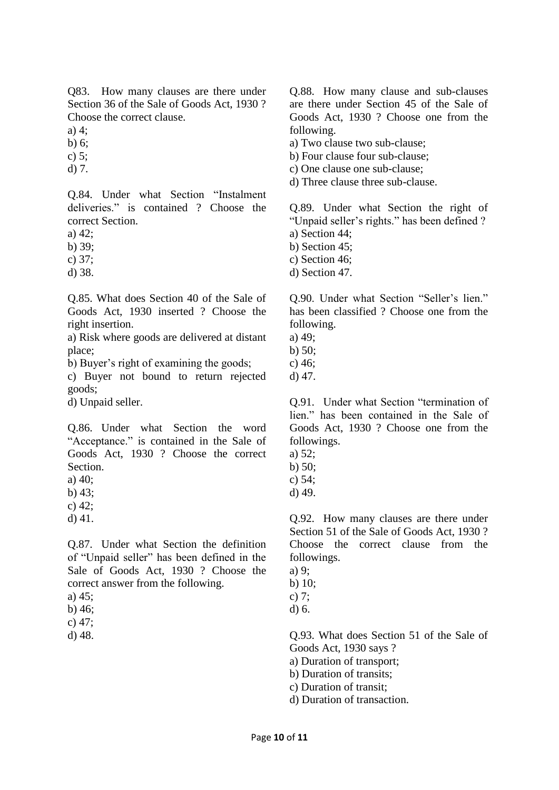Q83. How many clauses are there under Section 36 of the Sale of Goods Act, 1930 ? Choose the correct clause.

a)  $4:$ 

b) 6;

c) 5;

d) 7.

Q.84. Under what Section "Instalment deliveries." is contained ? Choose the correct Section.

a) 42;

b) 39;

c) 37;

d) 38.

Q.85. What does Section 40 of the Sale of Goods Act, 1930 inserted ? Choose the right insertion.

a) Risk where goods are delivered at distant place;

b) Buyer's right of examining the goods;

c) Buyer not bound to return rejected goods;

d) Unpaid seller.

Q.86. Under what Section the word "Acceptance." is contained in the Sale of Goods Act, 1930 ? Choose the correct Section.

a) 40;

b) 43;

- c) 42;
- d) 41.

Q.87. Under what Section the definition of "Unpaid seller" has been defined in the Sale of Goods Act, 1930 ? Choose the correct answer from the following.

b) 46;

c) 47;

d) 48.

Q.88. How many clause and sub-clauses are there under Section 45 of the Sale of Goods Act, 1930 ? Choose one from the following.

a) Two clause two sub-clause;

- b) Four clause four sub-clause;
- c) One clause one sub-clause;
- d) Three clause three sub-clause.

Q.89. Under what Section the right of "Unpaid seller's rights." has been defined ? a) Section 44;

- 
- b) Section 45;
- c) Section 46;
- d) Section 47.

Q.90. Under what Section "Seller's lien." has been classified ? Choose one from the following.

- a) 49;
- b) 50;
- c) 46;
- d) 47.

Q.91. Under what Section "termination of lien." has been contained in the Sale of Goods Act, 1930 ? Choose one from the followings.

- a) 52;
- b) 50;

c) 54;

d) 49.

Q.92. How many clauses are there under Section 51 of the Sale of Goods Act, 1930 ? Choose the correct clause from the followings.

- a) 9;
- b) 10;
- c) 7; d) 6.

Q.93. What does Section 51 of the Sale of Goods Act, 1930 says ?

a) Duration of transport;

- b) Duration of transits;
- c) Duration of transit;
- d) Duration of transaction.

a) 45;